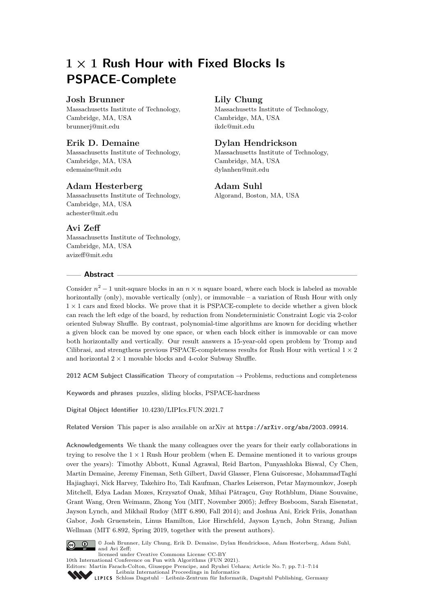## **1 × 1 Rush Hour with Fixed Blocks Is PSPACE-Complete**

## **Josh Brunner**

Massachusetts Institute of Technology, Cambridge, MA, USA [brunnerj@mit.edu](mailto:brunnerj@mit.edu)

## **Erik D. Demaine**

Massachusetts Institute of Technology, Cambridge, MA, USA [edemaine@mit.edu](mailto:edemaine@mit.edu)

## **Adam Hesterberg**

Massachusetts Institute of Technology, Cambridge, MA, USA [achester@mit.edu](mailto:achester@mit.edu)

## **Avi Zeff**

Massachusetts Institute of Technology, Cambridge, MA, USA [avizeff@mit.edu](mailto:avizeff@mit.edu)

#### **Abstract**

# **Lily Chung**

Massachusetts Institute of Technology, Cambridge, MA, USA [ikdc@mit.edu](mailto:ikdc@mit.edu)

### **Dylan Hendrickson**

Massachusetts Institute of Technology, Cambridge, MA, USA [dylanhen@mit.edu](mailto:dylanhen@mit.edu)

#### **Adam Suhl**

Algorand, Boston, MA, USA

Consider  $n^2 - 1$  unit-square blocks in an  $n \times n$  square board, where each block is labeled as movable horizontally (only), movable vertically (only), or immovable – a variation of Rush Hour with only  $1 \times 1$  cars and fixed blocks. We prove that it is PSPACE-complete to decide whether a given block can reach the left edge of the board, by reduction from Nondeterministic Constraint Logic via 2-color oriented Subway Shuffle. By contrast, polynomial-time algorithms are known for deciding whether a given block can be moved by one space, or when each block either is immovable or can move both horizontally and vertically. Our result answers a 15-year-old open problem by Tromp and Cilibrasi, and strengthens previous PSPACE-completeness results for Rush Hour with vertical  $1 \times 2$ and horizontal  $2 \times 1$  movable blocks and 4-color Subway Shuffle.

**2012 ACM Subject Classification** Theory of computation → Problems, reductions and completeness

**Keywords and phrases** puzzles, sliding blocks, PSPACE-hardness

**Digital Object Identifier** [10.4230/LIPIcs.FUN.2021.7](https://doi.org/10.4230/LIPIcs.FUN.2021.7)

**Related Version** This paper is also available on arXiv at <https://arXiv.org/abs/2003.09914>.

**Acknowledgements** We thank the many colleagues over the years for their early collaborations in trying to resolve the  $1 \times 1$  Rush Hour problem (when E. Demaine mentioned it to various groups over the years): Timothy Abbott, Kunal Agrawal, Reid Barton, Punyashloka Biswal, Cy Chen, Martin Demaine, Jeremy Fineman, Seth Gilbert, David Glasser, Flena Guisoresac, MohammadTaghi Hajiaghayi, Nick Harvey, Takehiro Ito, Tali Kaufman, Charles Leiserson, Petar Maymounkov, Joseph Mitchell, Edya Ladan Mozes, Krzysztof Onak, Mihai Pǎtraşcu, Guy Rothblum, Diane Souvaine, Grant Wang, Oren Weimann, Zhong You (MIT, November 2005); Jeffrey Bosboom, Sarah Eisenstat, Jayson Lynch, and Mikhail Rudoy (MIT 6.890, Fall 2014); and Joshua Ani, Erick Friis, Jonathan Gabor, Josh Gruenstein, Linus Hamilton, Lior Hirschfeld, Jayson Lynch, John Strang, Julian Wellman (MIT 6.892, Spring 2019, together with the present authors).



© Josh Brunner, Lily Chung, Erik D. Demaine, Dylan Hendrickson, Adam Hesterberg, Adam Suhl, and Avi Zeff;

licensed under Creative Commons License CC-BY 10th International Conference on Fun with Algorithms (FUN 2021).

Editors: Martin Farach-Colton, Giuseppe Prencipe, and Ryuhei Uehara; Article No. 7; pp. 7:1–7[:14](#page-13-0) [Leibniz International Proceedings in Informatics](https://www.dagstuhl.de/lipics/)

[Schloss Dagstuhl – Leibniz-Zentrum für Informatik, Dagstuhl Publishing, Germany](https://www.dagstuhl.de)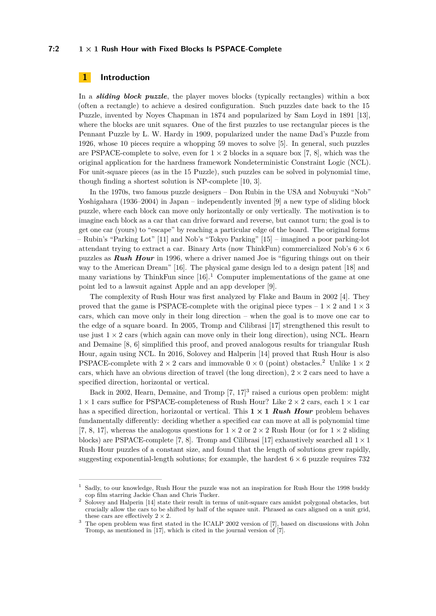#### **7:2 1 × 1 Rush Hour with Fixed Blocks Is PSPACE-Complete**

## **1 Introduction**

In a *sliding block puzzle*, the player moves blocks (typically rectangles) within a box (often a rectangle) to achieve a desired configuration. Such puzzles date back to the 15 Puzzle, invented by Noyes Chapman in 1874 and popularized by Sam Loyd in 1891 [\[13\]](#page-13-1), where the blocks are unit squares. One of the first puzzles to use rectangular pieces is the Pennant Puzzle by L. W. Hardy in 1909, popularized under the name Dad's Puzzle from 1926, whose 10 pieces require a whopping 59 moves to solve [\[5\]](#page-13-2). In general, such puzzles are PSPACE-complete to solve, even for  $1 \times 2$  blocks in a square box [\[7,](#page-13-3) [8\]](#page-13-4), which was the original application for the hardness framework Nondeterministic Constraint Logic (NCL). For unit-square pieces (as in the 15 Puzzle), such puzzles can be solved in polynomial time, though finding a shortest solution is NP-complete [\[10,](#page-13-5) [3\]](#page-13-6).

In the 1970s, two famous puzzle designers – Don Rubin in the USA and Nobuyuki "Nob" Yoshigahara (1936–2004) in Japan – independently invented [\[9\]](#page-13-7) a new type of sliding block puzzle, where each block can move only horizontally or only vertically. The motivation is to imagine each block as a car that can drive forward and reverse, but cannot turn; the goal is to get one car (yours) to "escape" by reaching a particular edge of the board. The original forms – Rubin's "Parking Lot" [\[11\]](#page-13-8) and Nob's "Tokyo Parking" [\[15\]](#page-13-9) – imagined a poor parking-lot attendant trying to extract a car. Binary Arts (now ThinkFun) commercialized Nob's  $6 \times 6$ puzzles as *Rush Hour* in 1996, where a driver named Joe is "figuring things out on their way to the American Dream" [\[16\]](#page-13-10). The physical game design led to a design patent [\[18\]](#page-13-11) and many variations by ThinkFun since  $[16]$ <sup>[1](#page-1-0)</sup>. Computer implementations of the game at one point led to a lawsuit against Apple and an app developer [\[9\]](#page-13-7).

The complexity of Rush Hour was first analyzed by Flake and Baum in 2002 [\[4\]](#page-13-12). They proved that the game is PSPACE-complete with the original piece types  $-1 \times 2$  and  $1 \times 3$ cars, which can move only in their long direction – when the goal is to move one car to the edge of a square board. In 2005, Tromp and Cilibrasi [\[17\]](#page-13-13) strengthened this result to use just  $1 \times 2$  cars (which again can move only in their long direction), using NCL. Hearn and Demaine [\[8,](#page-13-4) [6\]](#page-13-14) simplified this proof, and proved analogous results for triangular Rush Hour, again using NCL. In 2016, Solovey and Halperin [\[14\]](#page-13-15) proved that Rush Hour is also PSPACE-complete with  $2 \times 2$  $2 \times 2$  cars and immovable  $0 \times 0$  (point) obstacles.<sup>2</sup> Unlike  $1 \times 2$ cars, which have an obvious direction of travel (the long direction),  $2 \times 2$  cars need to have a specified direction, horizontal or vertical.

Back in 2002, Hearn, Demaine, and Tromp [\[7,](#page-13-3) [17\]](#page-13-13) [3](#page-1-2) raised a curious open problem: might  $1 \times 1$  cars suffice for PSPACE-completeness of Rush Hour? Like  $2 \times 2$  cars, each  $1 \times 1$  car has a specified direction, horizontal or vertical. This **1 × 1** *Rush Hour* problem behaves fundamentally differently: deciding whether a specified car can move at all is polynomial time [\[7,](#page-13-3) [8,](#page-13-4) [17\]](#page-13-13), whereas the analogous questions for  $1 \times 2$  or  $2 \times 2$  Rush Hour (or for  $1 \times 2$  sliding blocks) are PSPACE-complete [\[7,](#page-13-3) [8\]](#page-13-4). Tromp and Cilibrasi [\[17\]](#page-13-13) exhaustively searched all  $1 \times 1$ Rush Hour puzzles of a constant size, and found that the length of solutions grew rapidly, suggesting exponential-length solutions; for example, the hardest  $6 \times 6$  puzzle requires 732

<span id="page-1-0"></span> $^{\rm 1}$  Sadly, to our knowledge, Rush Hour the puzzle was not an inspiration for Rush Hour the 1998 buddy cop film starring Jackie Chan and Chris Tucker.

<span id="page-1-1"></span><sup>2</sup> Solovey and Halperin [\[14\]](#page-13-15) state their result in terms of unit-square cars amidst polygonal obstacles, but crucially allow the cars to be shifted by half of the square unit. Phrased as cars aligned on a unit grid, these cars are effectively  $2 \times 2$ .

<span id="page-1-2"></span><sup>&</sup>lt;sup>3</sup> The open problem was first stated in the ICALP 2002 version of [\[7\]](#page-13-3), based on discussions with John Tromp, as mentioned in [\[17\]](#page-13-13), which is cited in the journal version of [\[7\]](#page-13-3).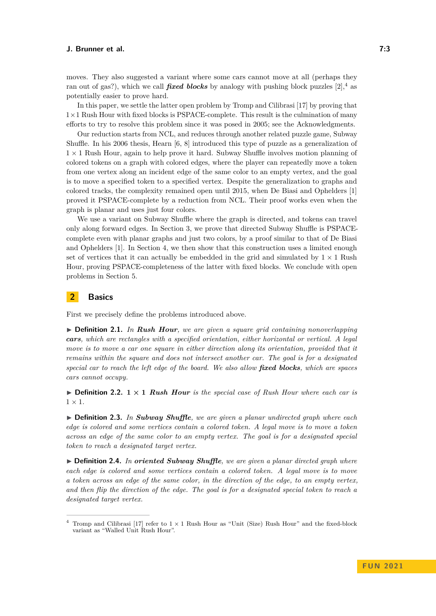In this paper, we settle the latter open problem by Tromp and Cilibrasi [\[17\]](#page-13-13) by proving that  $1\times1$  Rush Hour with fixed blocks is PSPACE-complete. This result is the culmination of many efforts to try to resolve this problem since it was posed in 2005; see the Acknowledgments.

Our reduction starts from NCL, and reduces through another related puzzle game, Subway Shuffle. In his 2006 thesis, Hearn [\[6,](#page-13-14) [8\]](#page-13-4) introduced this type of puzzle as a generalization of  $1 \times 1$  Rush Hour, again to help prove it hard. Subway Shuffle involves motion planning of colored tokens on a graph with colored edges, where the player can repeatedly move a token from one vertex along an incident edge of the same color to an empty vertex, and the goal is to move a specified token to a specified vertex. Despite the generalization to graphs and colored tracks, the complexity remained open until 2015, when De Biasi and Ophelders [\[1\]](#page-13-17) proved it PSPACE-complete by a reduction from NCL. Their proof works even when the graph is planar and uses just four colors.

We use a variant on Subway Shuffle where the graph is directed, and tokens can travel only along forward edges. In Section [3,](#page-3-0) we prove that directed Subway Shuffle is PSPACEcomplete even with planar graphs and just two colors, by a proof similar to that of De Biasi and Ophelders [\[1\]](#page-13-17). In Section [4,](#page-9-0) we then show that this construction uses a limited enough set of vertices that it can actually be embedded in the grid and simulated by  $1 \times 1$  Rush Hour, proving PSPACE-completeness of the latter with fixed blocks. We conclude with open problems in Section [5.](#page-11-0)

## **2 Basics**

First we precisely define the problems introduced above.

I **Definition 2.1.** *In Rush Hour, we are given a square grid containing nonoverlapping cars, which are rectangles with a specified orientation, either horizontal or vertical. A legal move is to move a car one square in either direction along its orientation, provided that it remains within the square and does not intersect another car. The goal is for a designated special car to reach the left edge of the board. We also allow fixed blocks, which are spaces cars cannot occupy.*

 $\triangleright$  **Definition 2.2. 1**  $\times$  **1** *Rush Hour is the special case of Rush Hour where each car is*  $1 \times 1$ .

I **Definition 2.3.** *In Subway Shuffle, we are given a planar undirected graph where each edge is colored and some vertices contain a colored token. A legal move is to move a token across an edge of the same color to an empty vertex. The goal is for a designated special token to reach a designated target vertex.*

▶ **Definition 2.4.** *In oriented Subway Shuffle*, we are given a planar directed graph where *each edge is colored and some vertices contain a colored token. A legal move is to move a token across an edge of the same color, in the direction of the edge, to an empty vertex, and then flip the direction of the edge. The goal is for a designated special token to reach a designated target vertex.*

<span id="page-2-1"></span><span id="page-2-0"></span><sup>&</sup>lt;sup>4</sup> Tromp and Cilibrasi [\[17\]](#page-13-13) refer to  $1 \times 1$  Rush Hour as "Unit (Size) Rush Hour" and the fixed-block variant as "Walled Unit Rush Hour".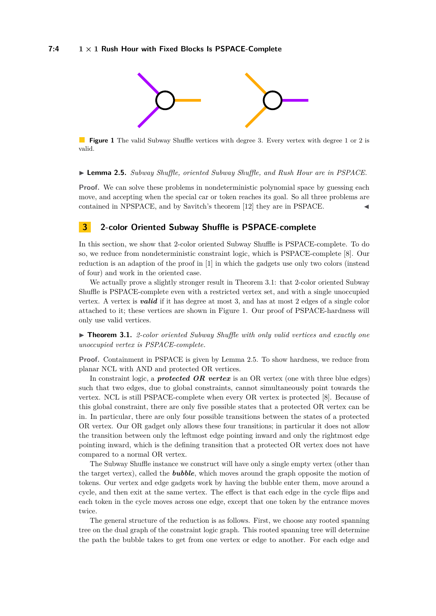<span id="page-3-2"></span>

**Figure 1** The valid Subway Shuffle vertices with degree 3. Every vertex with degree 1 or 2 is valid.

#### ▶ **Lemma 2.5.** *Subway Shuffle, oriented Subway Shuffle, and Rush Hour are in PSPACE.*

**Proof.** We can solve these problems in nondeterministic polynomial space by guessing each move, and accepting when the special car or token reaches its goal. So all three problems are contained in NPSPACE, and by Savitch's theorem [\[12\]](#page-13-18) they are in PSPACE.

## <span id="page-3-0"></span>**3 2-color Oriented Subway Shuffle is PSPACE-complete**

In this section, we show that 2-color oriented Subway Shuffle is PSPACE-complete. To do so, we reduce from nondeterministic constraint logic, which is PSPACE-complete [\[8\]](#page-13-4). Our reduction is an adaption of the proof in [\[1\]](#page-13-17) in which the gadgets use only two colors (instead of four) and work in the oriented case.

We actually prove a slightly stronger result in Theorem [3.1:](#page-3-1) that 2-color oriented Subway Shuffle is PSPACE-complete even with a restricted vertex set, and with a single unoccupied vertex. A vertex is *valid* if it has degree at most 3, and has at most 2 edges of a single color attached to it; these vertices are shown in Figure [1.](#page-3-2) Our proof of PSPACE-hardness will only use valid vertices.

<span id="page-3-1"></span>▶ **Theorem 3.1.** *2-color oriented Subway Shuffle with only valid vertices and exactly one unoccupied vertex is PSPACE-complete.*

**Proof.** Containment in PSPACE is given by Lemma [2.5.](#page-2-1) To show hardness, we reduce from planar NCL with AND and protected OR vertices.

In constraint logic, a *protected OR vertex* is an OR vertex (one with three blue edges) such that two edges, due to global constraints, cannot simultaneously point towards the vertex. NCL is still PSPACE-complete when every OR vertex is protected [\[8\]](#page-13-4). Because of this global constraint, there are only five possible states that a protected OR vertex can be in. In particular, there are only four possible transitions between the states of a protected OR vertex. Our OR gadget only allows these four transitions; in particular it does not allow the transition between only the leftmost edge pointing inward and only the rightmost edge pointing inward, which is the defining transition that a protected OR vertex does not have compared to a normal OR vertex.

The Subway Shuffle instance we construct will have only a single empty vertex (other than the target vertex), called the *bubble*, which moves around the graph opposite the motion of tokens. Our vertex and edge gadgets work by having the bubble enter them, move around a cycle, and then exit at the same vertex. The effect is that each edge in the cycle flips and each token in the cycle moves across one edge, except that one token by the entrance moves twice.

The general structure of the reduction is as follows. First, we choose any rooted spanning tree on the dual graph of the constraint logic graph. This rooted spanning tree will determine the path the bubble takes to get from one vertex or edge to another. For each edge and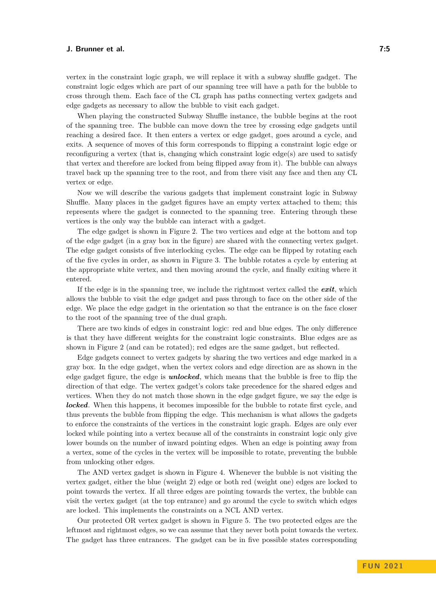vertex in the constraint logic graph, we will replace it with a subway shuffle gadget. The constraint logic edges which are part of our spanning tree will have a path for the bubble to cross through them. Each face of the CL graph has paths connecting vertex gadgets and edge gadgets as necessary to allow the bubble to visit each gadget.

When playing the constructed Subway Shuffle instance, the bubble begins at the root of the spanning tree. The bubble can move down the tree by crossing edge gadgets until reaching a desired face. It then enters a vertex or edge gadget, goes around a cycle, and exits. A sequence of moves of this form corresponds to flipping a constraint logic edge or reconfiguring a vertex (that is, changing which constraint logic edge(s) are used to satisfy that vertex and therefore are locked from being flipped away from it). The bubble can always travel back up the spanning tree to the root, and from there visit any face and then any CL vertex or edge.

Now we will describe the various gadgets that implement constraint logic in Subway Shuffle. Many places in the gadget figures have an empty vertex attached to them; this represents where the gadget is connected to the spanning tree. Entering through these vertices is the only way the bubble can interact with a gadget.

The edge gadget is shown in Figure [2.](#page-5-0) The two vertices and edge at the bottom and top of the edge gadget (in a gray box in the figure) are shared with the connecting vertex gadget. The edge gadget consists of five interlocking cycles. The edge can be flipped by rotating each of the five cycles in order, as shown in Figure [3.](#page-6-0) The bubble rotates a cycle by entering at the appropriate white vertex, and then moving around the cycle, and finally exiting where it entered.

If the edge is in the spanning tree, we include the rightmost vertex called the *exit*, which allows the bubble to visit the edge gadget and pass through to face on the other side of the edge. We place the edge gadget in the orientation so that the entrance is on the face closer to the root of the spanning tree of the dual graph.

There are two kinds of edges in constraint logic: red and blue edges. The only difference is that they have different weights for the constraint logic constraints. Blue edges are as shown in Figure [2](#page-5-0) (and can be rotated); red edges are the same gadget, but reflected.

Edge gadgets connect to vertex gadgets by sharing the two vertices and edge marked in a gray box. In the edge gadget, when the vertex colors and edge direction are as shown in the edge gadget figure, the edge is *unlocked*, which means that the bubble is free to flip the direction of that edge. The vertex gadget's colors take precedence for the shared edges and vertices. When they do not match those shown in the edge gadget figure, we say the edge is *locked*. When this happens, it becomes impossible for the bubble to rotate first cycle, and thus prevents the bubble from flipping the edge. This mechanism is what allows the gadgets to enforce the constraints of the vertices in the constraint logic graph. Edges are only ever locked while pointing into a vertex because all of the constraints in constraint logic only give lower bounds on the number of inward pointing edges. When an edge is pointing away from a vertex, some of the cycles in the vertex will be impossible to rotate, preventing the bubble from unlocking other edges.

The AND vertex gadget is shown in Figure [4.](#page-6-1) Whenever the bubble is not visiting the vertex gadget, either the blue (weight 2) edge or both red (weight one) edges are locked to point towards the vertex. If all three edges are pointing towards the vertex, the bubble can visit the vertex gadget (at the top entrance) and go around the cycle to switch which edges are locked. This implements the constraints on a NCL AND vertex.

Our protected OR vertex gadget is shown in Figure [5.](#page-7-0) The two protected edges are the leftmost and rightmost edges, so we can assume that they never both point towards the vertex. The gadget has three entrances. The gadget can be in five possible states corresponding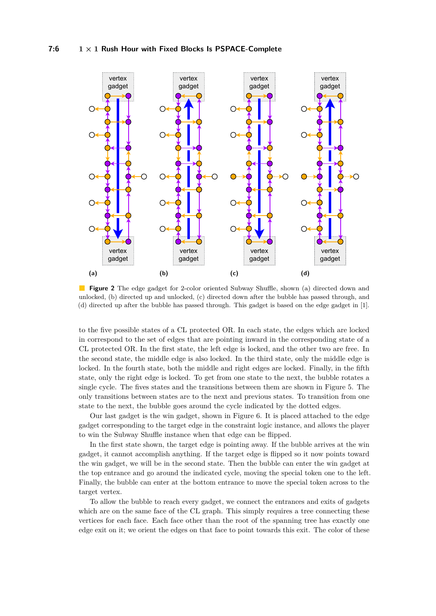<span id="page-5-0"></span>

**Figure 2** The edge gadget for 2-color oriented Subway Shuffle, shown (a) directed down and unlocked, (b) directed up and unlocked, (c) directed down after the bubble has passed through, and (d) directed up after the bubble has passed through. This gadget is based on the edge gadget in [\[1\]](#page-13-17).

to the five possible states of a CL protected OR. In each state, the edges which are locked in correspond to the set of edges that are pointing inward in the corresponding state of a CL protected OR. In the first state, the left edge is locked, and the other two are free. In the second state, the middle edge is also locked. In the third state, only the middle edge is locked. In the fourth state, both the middle and right edges are locked. Finally, in the fifth state, only the right edge is locked. To get from one state to the next, the bubble rotates a single cycle. The fives states and the transitions between them are shown in Figure [5.](#page-7-0) The only transitions between states are to the next and previous states. To transition from one state to the next, the bubble goes around the cycle indicated by the dotted edges.

Our last gadget is the win gadget, shown in Figure [6.](#page-8-0) It is placed attached to the edge gadget corresponding to the target edge in the constraint logic instance, and allows the player to win the Subway Shuffle instance when that edge can be flipped.

In the first state shown, the target edge is pointing away. If the bubble arrives at the win gadget, it cannot accomplish anything. If the target edge is flipped so it now points toward the win gadget, we will be in the second state. Then the bubble can enter the win gadget at the top entrance and go around the indicated cycle, moving the special token one to the left. Finally, the bubble can enter at the bottom entrance to move the special token across to the target vertex.

To allow the bubble to reach every gadget, we connect the entrances and exits of gadgets which are on the same face of the CL graph. This simply requires a tree connecting these vertices for each face. Each face other than the root of the spanning tree has exactly one edge exit on it; we orient the edges on that face to point towards this exit. The color of these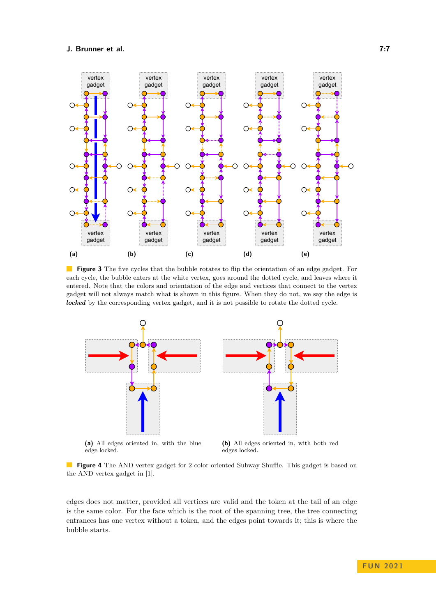<span id="page-6-0"></span>

**Figure 3** The five cycles that the bubble rotates to flip the orientation of an edge gadget. For each cycle, the bubble enters at the white vertex, goes around the dotted cycle, and leaves where it entered. Note that the colors and orientation of the edge and vertices that connect to the vertex gadget will not always match what is shown in this figure. When they do not, we say the edge is *locked* by the corresponding vertex gadget, and it is not possible to rotate the dotted cycle.

<span id="page-6-1"></span>

**(a)** All edges oriented in, with the blue edge locked.

**(b)** All edges oriented in, with both red edges locked.

**Figure 4** The AND vertex gadget for 2-color oriented Subway Shuffle. This gadget is based on the AND vertex gadget in [\[1\]](#page-13-17).

edges does not matter, provided all vertices are valid and the token at the tail of an edge is the same color. For the face which is the root of the spanning tree, the tree connecting entrances has one vertex without a token, and the edges point towards it; this is where the bubble starts.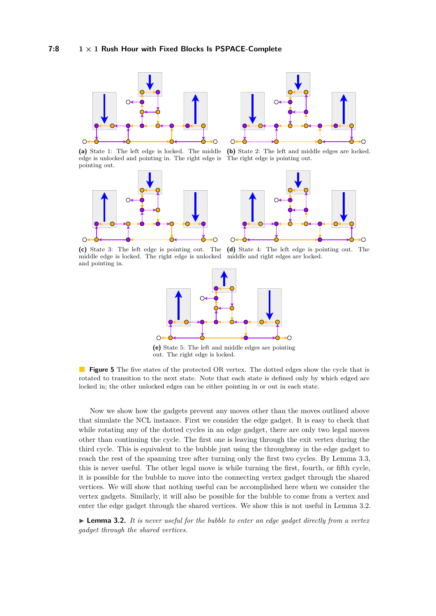<span id="page-7-0"></span>

**(a)** State 1: The left edge is locked. The middle edge is unlocked and pointing in. The right edge is pointing out.





**(b)** State 2: The left and middle edges are locked. The right edge is pointing out.



**(c)** State 3: The left edge is pointing out. The middle edge is locked. The right edge is unlocked and pointing in.





**(e)** State 5: The left and middle edges are pointing out. The right edge is locked.

**Figure 5** The five states of the protected OR vertex. The dotted edges show the cycle that is rotated to transition to the next state. Note that each state is defined only by which edged are locked in; the other unlocked edges can be either pointing in or out in each state.

Now we show how the gadgets prevent any moves other than the moves outlined above that simulate the NCL instance. First we consider the edge gadget. It is easy to check that while rotating any of the dotted cycles in an edge gadget, there are only two legal moves other than continuing the cycle. The first one is leaving through the exit vertex during the third cycle. This is equivalent to the bubble just using the throughway in the edge gadget to reach the rest of the spanning tree after turning only the first two cycles. By Lemma [3.3,](#page-8-1) this is never useful. The other legal move is while turning the first, fourth, or fifth cycle, it is possible for the bubble to move into the connecting vertex gadget through the shared vertices. We will show that nothing useful can be accomplished here when we consider the vertex gadgets. Similarly, it will also be possible for the bubble to come from a vertex and enter the edge gadget through the shared vertices. We show this is not useful in Lemma [3.2.](#page-7-1)

<span id="page-7-1"></span>► **Lemma 3.2.** *It is never useful for the bubble to enter an edge gadget directly from a vertex gadget through the shared vertices.*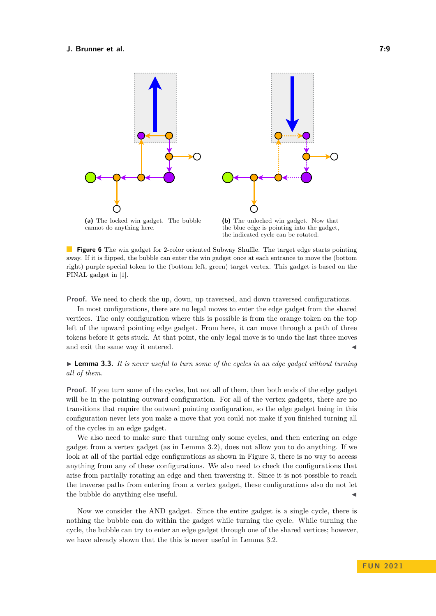<span id="page-8-0"></span>

the blue edge is pointing into the gadget, the indicated cycle can be rotated.

**Figure 6** The win gadget for 2-color oriented Subway Shuffle. The target edge starts pointing away. If it is flipped, the bubble can enter the win gadget once at each entrance to move the (bottom right) purple special token to the (bottom left, green) target vertex. This gadget is based on the FINAL gadget in [\[1\]](#page-13-17).

**Proof.** We need to check the up, down, up traversed, and down traversed configurations.

In most configurations, there are no legal moves to enter the edge gadget from the shared vertices. The only configuration where this is possible is from the orange token on the top left of the upward pointing edge gadget. From here, it can move through a path of three tokens before it gets stuck. At that point, the only legal move is to undo the last three moves and exit the same way it entered.

<span id="page-8-1"></span> $\blacktriangleright$  **Lemma 3.3.** It is never useful to turn some of the cycles in an edge gadget without turning *all of them.*

**Proof.** If you turn some of the cycles, but not all of them, then both ends of the edge gadget will be in the pointing outward configuration. For all of the vertex gadgets, there are no transitions that require the outward pointing configuration, so the edge gadget being in this configuration never lets you make a move that you could not make if you finished turning all of the cycles in an edge gadget.

We also need to make sure that turning only some cycles, and then entering an edge gadget from a vertex gadget (as in Lemma [3.2\)](#page-7-1), does not allow you to do anything. If we look at all of the partial edge configurations as shown in Figure [3,](#page-6-0) there is no way to access anything from any of these configurations. We also need to check the configurations that arise from partially rotating an edge and then traversing it. Since it is not possible to reach the traverse paths from entering from a vertex gadget, these configurations also do not let the bubble do anything else useful.

Now we consider the AND gadget. Since the entire gadget is a single cycle, there is nothing the bubble can do within the gadget while turning the cycle. While turning the cycle, the bubble can try to enter an edge gadget through one of the shared vertices; however, we have already shown that the this is never useful in Lemma [3.2.](#page-7-1)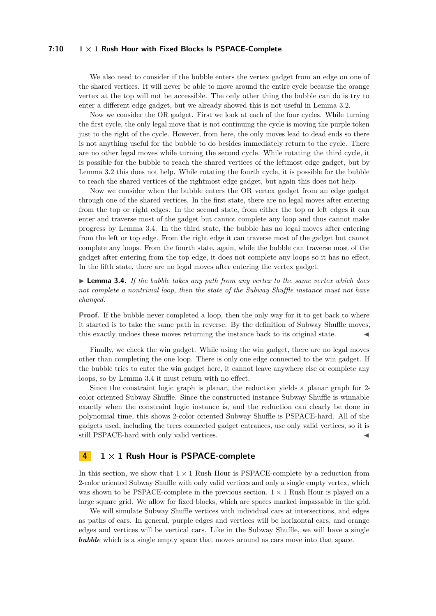#### **7:10 1 × 1 Rush Hour with Fixed Blocks Is PSPACE-Complete**

We also need to consider if the bubble enters the vertex gadget from an edge on one of the shared vertices. It will never be able to move around the entire cycle because the orange vertex at the top will not be accessible. The only other thing the bubble can do is try to enter a different edge gadget, but we already showed this is not useful in Lemma [3.2.](#page-7-1)

Now we consider the OR gadget. First we look at each of the four cycles. While turning the first cycle, the only legal move that is not continuing the cycle is moving the purple token just to the right of the cycle. However, from here, the only moves lead to dead ends so there is not anything useful for the bubble to do besides immediately return to the cycle. There are no other legal moves while turning the second cycle. While rotating the third cycle, it is possible for the bubble to reach the shared vertices of the leftmost edge gadget, but by Lemma [3.2](#page-7-1) this does not help. While rotating the fourth cycle, it is possible for the bubble to reach the shared vertices of the rightmost edge gadget, but again this does not help.

Now we consider when the bubble enters the OR vertex gadget from an edge gadget through one of the shared vertices. In the first state, there are no legal moves after entering from the top or right edges. In the second state, from either the top or left edges it can enter and traverse most of the gadget but cannot complete any loop and thus cannot make progress by Lemma [3.4.](#page-9-1) In the third state, the bubble has no legal moves after entering from the left or top edge. From the right edge it can traverse most of the gadget but cannot complete any loops. From the fourth state, again, while the bubble can traverse most of the gadget after entering from the top edge, it does not complete any loops so it has no effect. In the fifth state, there are no legal moves after entering the vertex gadget.

<span id="page-9-1"></span>► **Lemma 3.4.** *If the bubble takes any path from any vertex to the same vertex which does not complete a nontrivial loop, then the state of the Subway Shuffle instance must not have changed.*

**Proof.** If the bubble never completed a loop, then the only way for it to get back to where it started is to take the same path in reverse. By the definition of Subway Shuffle moves, this exactly undoes these moves returning the instance back to its original state. J

Finally, we check the win gadget. While using the win gadget, there are no legal moves other than completing the one loop. There is only one edge connected to the win gadget. If the bubble tries to enter the win gadget here, it cannot leave anywhere else or complete any loops, so by Lemma [3.4](#page-9-1) it must return with no effect.

Since the constraint logic graph is planar, the reduction yields a planar graph for 2 color oriented Subway Shuffle. Since the constructed instance Subway Shuffle is winnable exactly when the constraint logic instance is, and the reduction can clearly be done in polynomial time, this shows 2-color oriented Subway Shuffle is PSPACE-hard. All of the gadgets used, including the trees connected gadget entrances, use only valid vertices, so it is still PSPACE-hard with only valid vertices.

## <span id="page-9-0"></span>**4 1 × 1 Rush Hour is PSPACE-complete**

In this section, we show that  $1 \times 1$  Rush Hour is PSPACE-complete by a reduction from 2-color oriented Subway Shuffle with only valid vertices and only a single empty vertex, which was shown to be PSPACE-complete in the previous section.  $1 \times 1$  Rush Hour is played on a large square grid. We allow for fixed blocks, which are spaces marked impassable in the grid.

We will simulate Subway Shuffle vertices with individual cars at intersections, and edges as paths of cars. In general, purple edges and vertices will be horizontal cars, and orange edges and vertices will be vertical cars. Like in the Subway Shuffle, we will have a single **bubble** which is a single empty space that moves around as cars move into that space.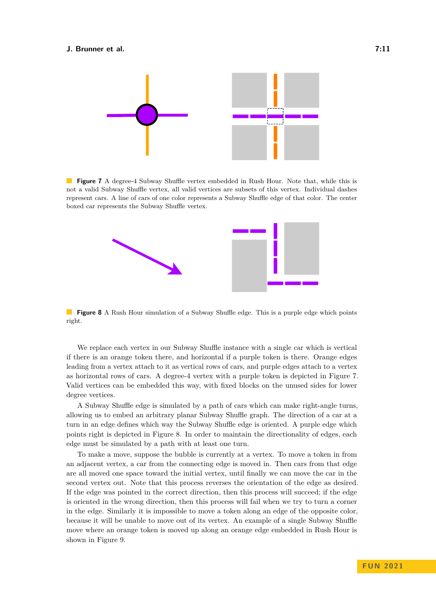<span id="page-10-0"></span>

**Figure 7** A degree-4 Subway Shuffle vertex embedded in Rush Hour. Note that, while this is not a valid Subway Shuffle vertex, all valid vertices are subsets of this vertex. Individual dashes represent cars. A line of cars of one color represents a Subway Shuffle edge of that color. The center boxed car represents the Subway Shuffle vertex.

<span id="page-10-1"></span>

**Figure 8** A Rush Hour simulation of a Subway Shuffle edge. This is a purple edge which points right.

We replace each vertex in our Subway Shuffle instance with a single car which is vertical if there is an orange token there, and horizontal if a purple token is there. Orange edges leading from a vertex attach to it as vertical rows of cars, and purple edges attach to a vertex as horizontal rows of cars. A degree-4 vertex with a purple token is depicted in Figure [7.](#page-10-0) Valid vertices can be embedded this way, with fixed blocks on the unused sides for lower degree vertices.

A Subway Shuffle edge is simulated by a path of cars which can make right-angle turns, allowing us to embed an arbitrary planar Subway Shuffle graph. The direction of a car at a turn in an edge defines which way the Subway Shuffle edge is oriented. A purple edge which points right is depicted in Figure [8.](#page-10-1) In order to maintain the directionality of edges, each edge must be simulated by a path with at least one turn.

To make a move, suppose the bubble is currently at a vertex. To move a token in from an adjacent vertex, a car from the connecting edge is moved in. Then cars from that edge are all moved one space toward the initial vertex, until finally we can move the car in the second vertex out. Note that this process reverses the orientation of the edge as desired. If the edge was pointed in the correct direction, then this process will succeed; if the edge is oriented in the wrong direction, then this process will fail when we try to turn a corner in the edge. Similarly it is impossible to move a token along an edge of the opposite color, because it will be unable to move out of its vertex. An example of a single Subway Shuffle move where an orange token is moved up along an orange edge embedded in Rush Hour is shown in Figure [9.](#page-11-1)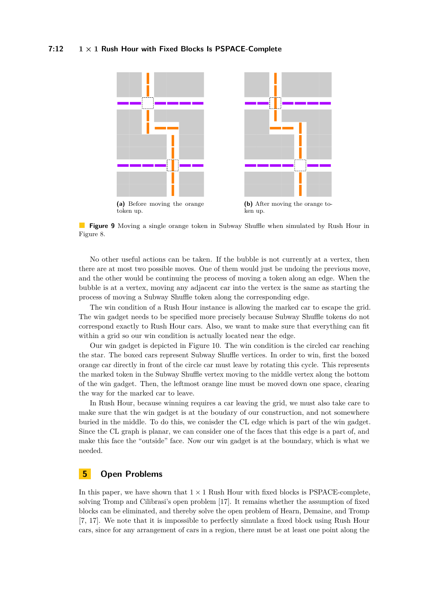#### **7:12 1 × 1 Rush Hour with Fixed Blocks Is PSPACE-Complete**

<span id="page-11-1"></span>

**Figure 9** Moving a single orange token in Subway Shuffle when simulated by Rush Hour in Figure [8.](#page-10-1)

No other useful actions can be taken. If the bubble is not currently at a vertex, then there are at most two possible moves. One of them would just be undoing the previous move, and the other would be continuing the process of moving a token along an edge. When the bubble is at a vertex, moving any adjacent car into the vertex is the same as starting the process of moving a Subway Shuffle token along the corresponding edge.

The win condition of a Rush Hour instance is allowing the marked car to escape the grid. The win gadget needs to be specified more precisely because Subway Shuffle tokens do not correspond exactly to Rush Hour cars. Also, we want to make sure that everything can fit within a grid so our win condition is actually located near the edge.

Our win gadget is depicted in Figure [10.](#page-12-0) The win condition is the circled car reaching the star. The boxed cars represent Subway Shuffle vertices. In order to win, first the boxed orange car directly in front of the circle car must leave by rotating this cycle. This represents the marked token in the Subway Shuffle vertex moving to the middle vertex along the bottom of the win gadget. Then, the leftmost orange line must be moved down one space, clearing the way for the marked car to leave.

In Rush Hour, because winning requires a car leaving the grid, we must also take care to make sure that the win gadget is at the boudary of our construction, and not somewhere buried in the middle. To do this, we conisder the CL edge which is part of the win gadget. Since the CL graph is planar, we can consider one of the faces that this edge is a part of, and make this face the "outside" face. Now our win gadget is at the boundary, which is what we needed.

## <span id="page-11-0"></span>**5 Open Problems**

In this paper, we have shown that  $1 \times 1$  Rush Hour with fixed blocks is PSPACE-complete, solving Tromp and Cilibrasi's open problem [\[17\]](#page-13-13). It remains whether the assumption of fixed blocks can be eliminated, and thereby solve the open problem of Hearn, Demaine, and Tromp [\[7,](#page-13-3) [17\]](#page-13-13). We note that it is impossible to perfectly simulate a fixed block using Rush Hour cars, since for any arrangement of cars in a region, there must be at least one point along the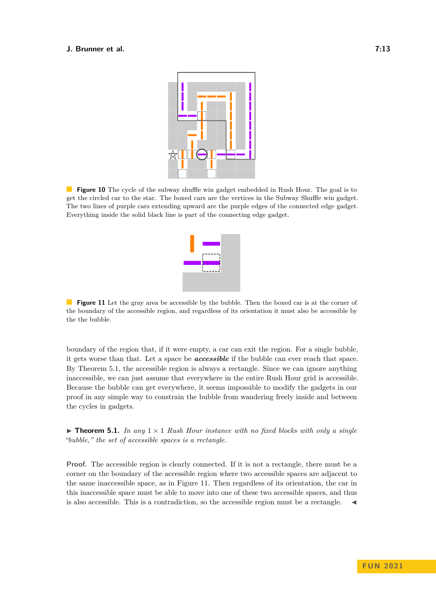<span id="page-12-0"></span>

<span id="page-12-1"></span>**Figure 10** The cycle of the subway shuffle win gadget embedded in Rush Hour. The goal is to get the circled car to the star. The boxed cars are the vertices in the Subway Shuffle win gadget. The two lines of purple cars extending upward are the purple edges of the connected edge gadget. Everything inside the solid black line is part of the connecting edge gadget.



**Figure 11** Let the gray area be accessible by the bubble. Then the boxed car is at the corner of the boundary of the accessible region, and regardless of its orientation it must also be accessible by the the bubble.

boundary of the region that, if it were empty, a car can exit the region. For a single bubble, it gets worse than that. Let a space be *accessible* if the bubble can ever reach that space. By Theorem [5.1,](#page-3-1) the accessible region is always a rectangle. Since we can ignore anything inaccessible, we can just assume that everywhere in the entire Rush Hour grid is accessible. Because the bubble can get everywhere, it seems impossible to modify the gadgets in our proof in any simple way to constrain the bubble from wandering freely inside and between the cycles in gadgets.

**Findment 5.1.** In any  $1 \times 1$  *Rush Hour instance with no fixed blocks with only a single "bubble," the set of accessible spaces is a rectangle.*

**Proof.** The accessible region is clearly connected. If it is not a rectangle, there must be a corner on the boundary of the accessible region where two accessible spaces are adjacent to the same inaccessible space, as in Figure [11.](#page-12-1) Then regardless of its orientation, the car in this inaccessible space must be able to move into one of these two accessible spaces, and thus is also accessible. This is a contradiction, so the accessible region must be a rectangle.  $\blacktriangleleft$